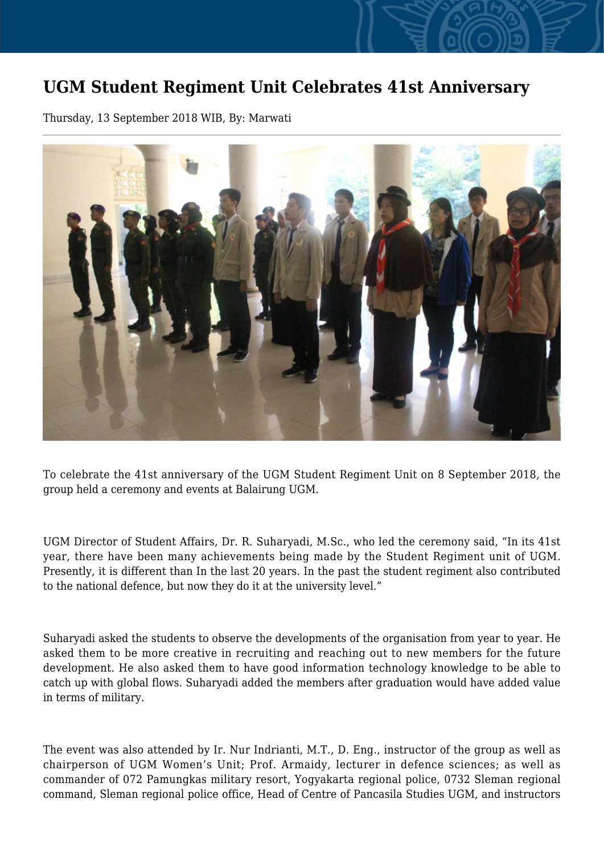## **UGM Student Regiment Unit Celebrates 41st Anniversary**

Thursday, 13 September 2018 WIB, By: Marwati



To celebrate the 41st anniversary of the UGM Student Regiment Unit on 8 September 2018, the group held a ceremony and events at Balairung UGM.

UGM Director of Student Affairs, Dr. R. Suharyadi, M.Sc., who led the ceremony said, "In its 41st year, there have been many achievements being made by the Student Regiment unit of UGM. Presently, it is different than In the last 20 years. In the past the student regiment also contributed to the national defence, but now they do it at the university level."

Suharyadi asked the students to observe the developments of the organisation from year to year. He asked them to be more creative in recruiting and reaching out to new members for the future development. He also asked them to have good information technology knowledge to be able to catch up with global flows. Suharyadi added the members after graduation would have added value in terms of military.

The event was also attended by Ir. Nur Indrianti, M.T., D. Eng., instructor of the group as well as chairperson of UGM Women's Unit; Prof. Armaidy, lecturer in defence sciences; as well as commander of 072 Pamungkas military resort, Yogyakarta regional police, 0732 Sleman regional command, Sleman regional police office, Head of Centre of Pancasila Studies UGM, and instructors